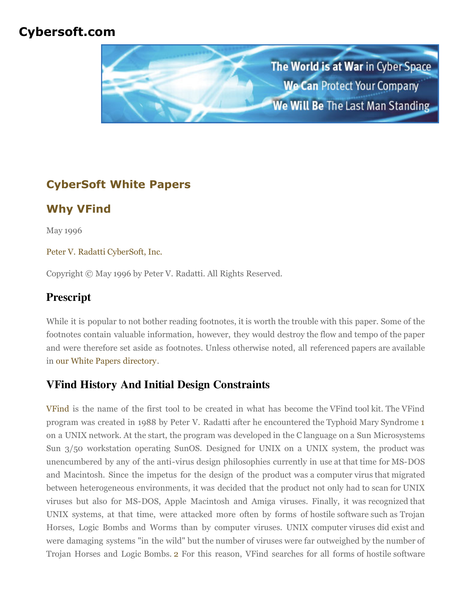## **Cybersoft.com**



# **CyberSoft White Papers**

# **Why VFind**

May 1996

#### [Peter V. Radatti](mailto:radatti@cyber.com) [CyberSoft, Inc.](http://www.cybersoft.com/)

Copyright © May 1996 by Peter V. Radatti. All Rights Reserved.

## **Prescript**

While it is popular to not bother reading footnotes, it is worth the trouble with this paper. Some of the footnotes contain valuable information, however, they would destroy the flow and tempo of the paper and were therefore set aside as footnotes. Unless otherwise noted, all referenced papers are available in [our White Papers directory](http://cybersoft.com/v3/whitepapers/index.shtml).

### **VFind History And Initial Design Constraints**

[VFind](http://www.cybersoft.com/cs_products/vfind.php) is the name of the first tool to be created in what has become the VFind tool kit. The VFind program was created in 1988 by Peter V. Radatti after he encountered the Typhoid Mary Syndrome [1](http://cybersoft.com/v3/whitepapers/paper_details.php?content=cs012#1) on a UNIX network. At the start, the program was developed in the C language on a Sun Microsystems Sun 3/50 workstation operating SunOS. Designed for UNIX on a UNIX system, the product was unencumbered by any of the anti-virus design philosophies currently in use at that time for MS-DOS and Macintosh. Since the impetus for the design of the product was a computer virus that migrated between heterogeneous environments, it was decided that the product not only had to scan for UNIX viruses but also for MS-DOS, Apple Macintosh and Amiga viruses. Finally, it was recognized that UNIX systems, at that time, were attacked more often by forms of hostile software such as Trojan Horses, Logic Bombs and Worms than by computer viruses. UNIX computer viruses did exist and were damaging systems "in the wild" but the number of viruses were far outweighed by the number of Trojan Horses and Logic Bombs. [2](http://cybersoft.com/v3/whitepapers/paper_details.php?content=cs012#2) For this reason, VFind searches for all forms of hostile software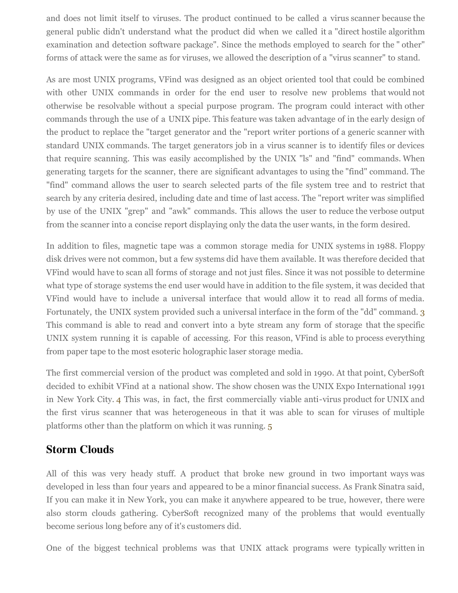and does not limit itself to viruses. The product continued to be called a virus scanner because the general public didn't understand what the product did when we called it a "direct hostile algorithm examination and detection software package". Since the methods employed to search for the " other" forms of attack were the same as for viruses, we allowed the description of a "virus scanner" to stand.

As are most UNIX programs, VFind was designed as an object oriented tool that could be combined with other UNIX commands in order for the end user to resolve new problems that would not otherwise be resolvable without a special purpose program. The program could interact with other commands through the use of a UNIX pipe. This feature was taken advantage of in the early design of the product to replace the "target generator and the "report writer portions of a generic scanner with standard UNIX commands. The target generators job in a virus scanner is to identify files or devices that require scanning. This was easily accomplished by the UNIX "ls" and "find" commands. When generating targets for the scanner, there are significant advantages to using the "find" command. The "find" command allows the user to search selected parts of the file system tree and to restrict that search by any criteria desired, including date and time of last access. The "report writer was simplified by use of the UNIX "grep" and "awk" commands. This allows the user to reduce the verbose output from the scanner into a concise report displaying only the data the user wants, in the form desired.

In addition to files, magnetic tape was a common storage media for UNIX systems in 1988. Floppy disk drives were not common, but a few systems did have them available. It was therefore decided that VFind would have to scan all forms of storage and not just files. Since it was not possible to determine what type of storage systems the end user would have in addition to the file system, it was decided that VFind would have to include a universal interface that would allow it to read all forms of media. Fortunately, the UNIX system provided such a universal interface in the form of the "dd" command. [3](http://cybersoft.com/v3/whitepapers/paper_details.php?content=cs012#3) This command is able to read and convert into a byte stream any form of storage that the specific UNIX system running it is capable of accessing. For this reason, VFind is able to process everything from paper tape to the most esoteric holographic laser storage media.

The first commercial version of the product was completed and sold in 1990. At that point, CyberSoft decided to exhibit VFind at a national show. The show chosen was the UNIX Expo International 1991 in New York City. [4](http://cybersoft.com/v3/whitepapers/paper_details.php?content=cs012#4) This was, in fact, the first commercially viable anti-virus product for UNIX and the first virus scanner that was heterogeneous in that it was able to scan for viruses of multiple platforms other than the platform on which it was running. [5](http://cybersoft.com/v3/whitepapers/paper_details.php?content=cs012#5)

#### **Storm Clouds**

All of this was very heady stuff. A product that broke new ground in two important ways was developed in less than four years and appeared to be a minor financial success. As Frank Sinatra said, If you can make it in New York, you can make it anywhere appeared to be true, however, there were also storm clouds gathering. CyberSoft recognized many of the problems that would eventually become serious long before any of it's customers did.

One of the biggest technical problems was that UNIX attack programs were typically written in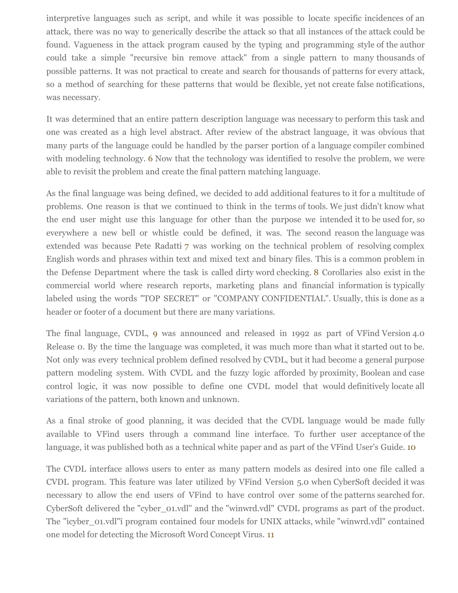interpretive languages such as script, and while it was possible to locate specific incidences of an attack, there was no way to generically describe the attack so that all instances of the attack could be found. Vagueness in the attack program caused by the typing and programming style of the author could take a simple "recursive bin remove attack" from a single pattern to many thousands of possible patterns. It was not practical to create and search for thousands of patterns for every attack, so a method of searching for these patterns that would be flexible, yet not create false notifications, was necessary.

It was determined that an entire pattern description language was necessary to perform this task and one was created as a high level abstract. After review of the abstract language, it was obvious that many parts of the language could be handled by the parser portion of a language compiler combined with modeling technology. [6](http://cybersoft.com/v3/whitepapers/paper_details.php?content=cs012#6) Now that the technology was identified to resolve the problem, we were able to revisit the problem and create the final pattern matching language.

As the final language was being defined, we decided to add additional features to it for a multitude of problems. One reason is that we continued to think in the terms of tools. We just didn't know what the end user might use this language for other than the purpose we intended it to be used for, so everywhere a new bell or whistle could be defined, it was. The second reason the language was extended was because Pete Radatti [7](http://cybersoft.com/v3/whitepapers/paper_details.php?content=cs012#7) was working on the technical problem of resolving complex English words and phrases within text and mixed text and binary files. This is a common problem in the Defense Department where the task is called dirty word checking. [8](http://cybersoft.com/v3/whitepapers/paper_details.php?content=cs012#8) Corollaries also exist in the commercial world where research reports, marketing plans and financial information is typically labeled using the words "TOP SECRET" or "COMPANY CONFIDENTIAL". Usually, this is done as a header or footer of a document but there are many variations.

The final language, CVDL, [9](http://cybersoft.com/v3/whitepapers/paper_details.php?content=cs012#9) was announced and released in 1992 as part of VFind Version 4.0 Release 0. By the time the language was completed, it was much more than what it started out to be. Not only was every technical problem defined resolved by CVDL, but it had become a general purpose pattern modeling system. With CVDL and the fuzzy logic afforded by proximity, Boolean and case control logic, it was now possible to define one CVDL model that would definitively locate all variations of the pattern, both known and unknown.

As a final stroke of good planning, it was decided that the CVDL language would be made fully available to VFind users through a command line interface. To further user acceptance of the language, it was published both as a technical white paper and as part of the VFind User's Guide. [10](http://cybersoft.com/v3/whitepapers/paper_details.php?content=cs012#10)

The CVDL interface allows users to enter as many pattern models as desired into one file called a CVDL program. This feature was later utilized by VFind Version 5.0 when CyberSoft decided it was necessary to allow the end users of VFind to have control over some of the patterns searched for. CyberSoft delivered the "cyber\_01.vdl" and the "winwrd.vdl" CVDL programs as part of the product. The "ìcyber\_01.vdl"î program contained four models for UNIX attacks, while "winwrd.vdl" contained one model for detecting the Microsoft Word Concept Virus. [11](http://cybersoft.com/v3/whitepapers/paper_details.php?content=cs012#11)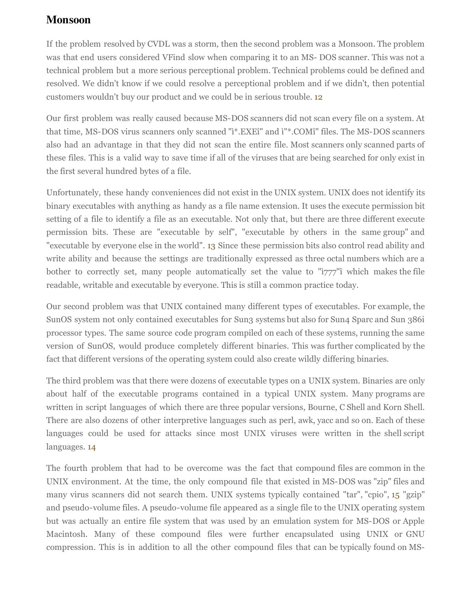### **Monsoon**

If the problem resolved by CVDL was a storm, then the second problem was a Monsoon. The problem was that end users considered VFind slow when comparing it to an MS- DOS scanner. This was not a technical problem but a more serious perceptional problem. Technical problems could be defined and resolved. We didn't know if we could resolve a perceptional problem and if we didn't, then potential customers wouldn't buy our product and we could be in serious trouble. [12](http://cybersoft.com/v3/whitepapers/paper_details.php?content=cs012#12)

Our first problem was really caused because MS-DOS scanners did not scan every file on a system. At that time, MS-DOS virus scanners only scanned "ì\*.EXEî" and ì"\*.COMî" files. The MS-DOS scanners also had an advantage in that they did not scan the entire file. Most scanners only scanned parts of these files. This is a valid way to save time if all of the viruses that are being searched for only exist in the first several hundred bytes of a file.

Unfortunately, these handy conveniences did not exist in the UNIX system. UNIX does not identify its binary executables with anything as handy as a file name extension. It uses the execute permission bit setting of a file to identify a file as an executable. Not only that, but there are three different execute permission bits. These are "executable by self", "executable by others in the same group" and "executable by everyone else in the world". [13](http://cybersoft.com/v3/whitepapers/paper_details.php?content=cs012#13) Since these permission bits also control read ability and write ability and because the settings are traditionally expressed as three octal numbers which are a bother to correctly set, many people automatically set the value to "*i*777"*î* which makes the file readable, writable and executable by everyone. This is still a common practice today.

Our second problem was that UNIX contained many different types of executables. For example, the SunOS system not only contained executables for Sun3 systems but also for Sun4 Sparc and Sun 386i processor types. The same source code program compiled on each of these systems, running the same version of SunOS, would produce completely different binaries. This was further complicated by the fact that different versions of the operating system could also create wildly differing binaries.

The third problem was that there were dozens of executable types on a UNIX system. Binaries are only about half of the executable programs contained in a typical UNIX system. Many programs are written in script languages of which there are three popular versions, Bourne, C Shell and Korn Shell. There are also dozens of other interpretive languages such as perl, awk, yacc and so on. Each of these languages could be used for attacks since most UNIX viruses were written in the shell script languages. [14](http://cybersoft.com/v3/whitepapers/paper_details.php?content=cs012#14)

The fourth problem that had to be overcome was the fact that compound files are common in the UNIX environment. At the time, the only compound file that existed in MS-DOS was "zip" files and many virus scanners did not search them. UNIX systems typically contained "tar", "cpio", [15](http://cybersoft.com/v3/whitepapers/paper_details.php?content=cs012#15) "gzip" and pseudo-volume files. A pseudo-volume file appeared as a single file to the UNIX operating system but was actually an entire file system that was used by an emulation system for MS-DOS or Apple Macintosh. Many of these compound files were further encapsulated using UNIX or GNU compression. This is in addition to all the other compound files that can be typically found on MS-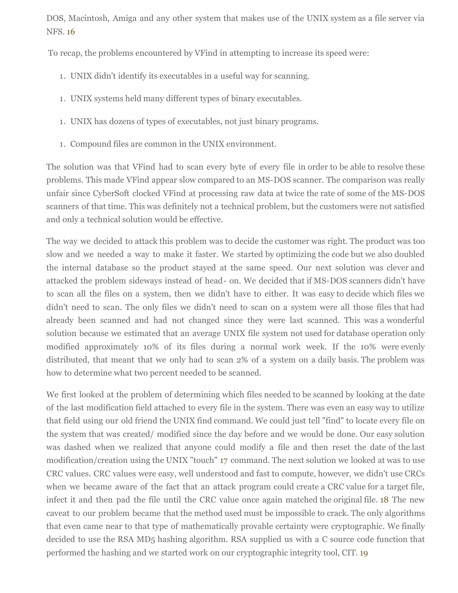DOS, Macintosh, Amiga and any other system that makes use of the UNIX system as a file server via NFS. [16](http://cybersoft.com/v3/whitepapers/paper_details.php?content=cs012#16)

To recap, the problems encountered by VFind in attempting to increase its speed were:

- 1. UNIX didn't identify its executables in a useful way for scanning.
- 1. UNIX systems held many different types of binary executables.
- 1. UNIX has dozens of types of executables, not just binary programs.
- 1. Compound files are common in the UNIX environment.

The solution was that VFind had to scan every byte of every file in order to be able to resolve these problems. This made VFind appear slow compared to an MS-DOS scanner. The comparison was really unfair since CyberSoft clocked VFind at processing raw data at twice the rate of some of the MS-DOS scanners of that time. This was definitely not a technical problem, but the customers were not satisfied and only a technical solution would be effective.

The way we decided to attack this problem was to decide the customer was right. The product was too slow and we needed a way to make it faster. We started by optimizing the code but we also doubled the internal database so the product stayed at the same speed. Our next solution was clever and attacked the problem sideways instead of head- on. We decided that if MS-DOS scanners didn't have to scan all the files on a system, then we didn't have to either. It was easy to decide which files we didn't need to scan. The only files we didn't need to scan on a system were all those files that had already been scanned and had not changed since they were last scanned. This was a wonderful solution because we estimated that an average UNIX file system not used for database operation only modified approximately 10% of its files during a normal work week. If the 10% were evenly distributed, that meant that we only had to scan 2% of a system on a daily basis. The problem was how to determine what two percent needed to be scanned.

We first looked at the problem of determining which files needed to be scanned by looking at the date of the last modification field attached to every file in the system. There was even an easy way to utilize that field using our old friend the UNIX find command. We could just tell "find" to locate every file on the system that was created/ modified since the day before and we would be done. Our easy solution was dashed when we realized that anyone could modify a file and then reset the date of the last modification/creation using the UNIX "touch" [17](http://cybersoft.com/v3/whitepapers/paper_details.php?content=cs012#17) command. The next solution we looked at was to use CRC values. CRC values were easy, well understood and fast to compute, however, we didn't use CRCs when we became aware of the fact that an attack program could create a CRC value for a target file, infect it and then pad the file until the CRC value once again matched the original file. [18](http://cybersoft.com/v3/whitepapers/paper_details.php?content=cs012#18) The new caveat to our problem became that the method used must be impossible to crack. The only algorithms that even came near to that type of mathematically provable certainty were cryptographic. We finally decided to use the RSA MD<sub>5</sub> hashing algorithm. RSA supplied us with a C source code function that performed the hashing and we started work on our cryptographic integrity tool, CIT. [19](http://cybersoft.com/v3/whitepapers/paper_details.php?content=cs012#19)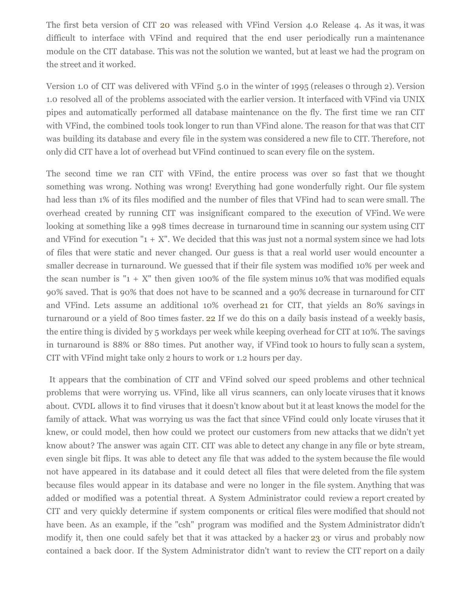The first beta version of CIT [20](http://cybersoft.com/v3/whitepapers/paper_details.php?content=cs012#20) was released with VFind Version 4.0 Release 4. As it was, it was difficult to interface with VFind and required that the end user periodically run a maintenance module on the CIT database. This was not the solution we wanted, but at least we had the program on the street and it worked.

Version 1.0 of CIT was delivered with VFind 5.0 in the winter of 1995 (releases 0 through 2). Version 1.0 resolved all of the problems associated with the earlier version. It interfaced with VFind via UNIX pipes and automatically performed all database maintenance on the fly. The first time we ran CIT with VFind, the combined tools took longer to run than VFind alone. The reason for that was that CIT was building its database and every file in the system was considered a new file to CIT. Therefore, not only did CIT have a lot of overhead but VFind continued to scan every file on the system.

The second time we ran CIT with VFind, the entire process was over so fast that we thought something was wrong. Nothing was wrong! Everything had gone wonderfully right. Our file system had less than 1% of its files modified and the number of files that VFind had to scan were small. The overhead created by running CIT was insignificant compared to the execution of VFind. We were looking at something like a 998 times decrease in turnaround time in scanning our system using CIT and VFind for execution " $1 + X$ ". We decided that this was just not a normal system since we had lots of files that were static and never changed. Our guess is that a real world user would encounter a smaller decrease in turnaround. We guessed that if their file system was modified 10% per week and the scan number is " $1 + X$ " then given 100% of the file system minus 10% that was modified equals 90% saved. That is 90% that does not have to be scanned and a 90% decrease in turnaround for CIT and VFind. Lets assume an additional 10% overhead [21](http://cybersoft.com/v3/whitepapers/paper_details.php?content=cs012#21) for CIT, that yields an 80% savings in turnaround or a yield of 800 times faster. [22](http://cybersoft.com/v3/whitepapers/paper_details.php?content=cs012#22) If we do this on a daily basis instead of a weekly basis, the entire thing is divided by 5 workdays per week while keeping overhead for CIT at 10%. The savings in turnaround is 88% or 880 times. Put another way, if VFind took 10 hours to fully scan a system, CIT with VFind might take only 2 hours to work or 1.2 hours per day.

 It appears that the combination of CIT and VFind solved our speed problems and other technical problems that were worrying us. VFind, like all virus scanners, can only locate viruses that it knows about. CVDL allows it to find viruses that it doesn't know about but it at least knows the model for the family of attack. What was worrying us was the fact that since VFind could only locate viruses that it knew, or could model, then how could we protect our customers from new attacks that we didn't yet know about? The answer was again CIT. CIT was able to detect any change in any file or byte stream, even single bit flips. It was able to detect any file that was added to the system because the file would not have appeared in its database and it could detect all files that were deleted from the file system because files would appear in its database and were no longer in the file system. Anything that was added or modified was a potential threat. A System Administrator could review a report created by CIT and very quickly determine if system components or critical files were modified that should not have been. As an example, if the "csh" program was modified and the System Administrator didn't modify it, then one could safely bet that it was attacked by a hacker [23](http://cybersoft.com/v3/whitepapers/paper_details.php?content=cs012#23) or virus and probably now contained a back door. If the System Administrator didn't want to review the CIT report on a daily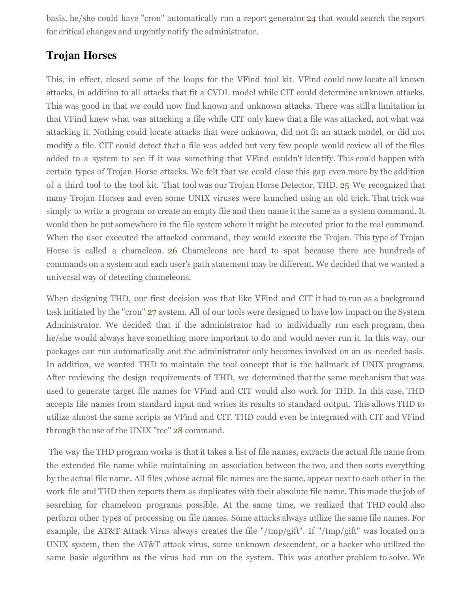basis, he/she could have "cron" automatically run a report generator [24](http://cybersoft.com/v3/whitepapers/paper_details.php?content=cs012#24) that would search the report for critical changes and urgently notify the administrator.

#### **Trojan Horses**

This, in effect, closed some of the loops for the VFind tool kit. VFind could now locate all known attacks, in addition to all attacks that fit a CVDL model while CIT could determine unknown attacks. This was good in that we could now find known and unknown attacks. There was still a limitation in that VFind knew what was attacking a file while CIT only knew that a file was attacked, not what was attacking it. Nothing could locate attacks that were unknown, did not fit an attack model, or did not modify a file. CIT could detect that a file was added but very few people would review all of the files added to a system to see if it was something that VFind couldn't identify. This could happen with certain types of Trojan Horse attacks. We felt that we could close this gap even more by the addition of a third tool to the tool kit. That tool was our Trojan Horse Detector, THD. [25](http://cybersoft.com/v3/whitepapers/paper_details.php?content=cs012#25) We recognized that many Trojan Horses and even some UNIX viruses were launched using an old trick. That trick was simply to write a program or create an empty file and then name it the same as a system command. It would then be put somewhere in the file system where it might be executed prior to the real command. When the user executed the attacked command, they would execute the Trojan. This type of Trojan Horse is called a chameleon. [26](http://cybersoft.com/v3/whitepapers/paper_details.php?content=cs012#26) Chameleons are hard to spot because there are hundreds of commands on a system and each user's path statement may be different. We decided that we wanted a universal way of detecting chameleons.

When designing THD, our first decision was that like VFind and CIT it had to run as a background task initiated by the "cron" [27](http://cybersoft.com/v3/whitepapers/paper_details.php?content=cs012#27) system. All of our tools were designed to have low impact on the System Administrator. We decided that if the administrator had to individually run each program, then he/she would always have something more important to do and would never run it. In this way, our packages can run automatically and the administrator only becomes involved on an as-needed basis. In addition, we wanted THD to maintain the tool concept that is the hallmark of UNIX programs. After reviewing the design requirements of THD, we determined that the same mechanism that was used to generate target file names for VFind and CIT would also work for THD. In this case, THD accepts file names from standard input and writes its results to standard output. This allows THD to utilize almost the same scripts as VFind and CIT. THD could even be integrated with CIT and VFind through the use of the UNIX "tee" [28](http://cybersoft.com/v3/whitepapers/paper_details.php?content=cs012#28) command.

 The way the THD program works is that it takes a list of file names, extracts the actual file name from the extended file name while maintaining an association between the two, and then sorts everything by the actual file name. All files ,whose actual file names are the same, appear next to each other in the work file and THD then reports them as duplicates with their absolute file name. This made the job of searching for chameleon programs possible. At the same time, we realized that THD could also perform other types of processing on file names. Some attacks always utilize the same file names. For example, the AT&T Attack Virus always creates the file "/tmp/gift". If "/tmp/gift" was located on a UNIX system, then the AT&T attack virus, some unknown descendent, or a hacker who utilized the same basic algorithm as the virus had run on the system. This was another problem to solve. We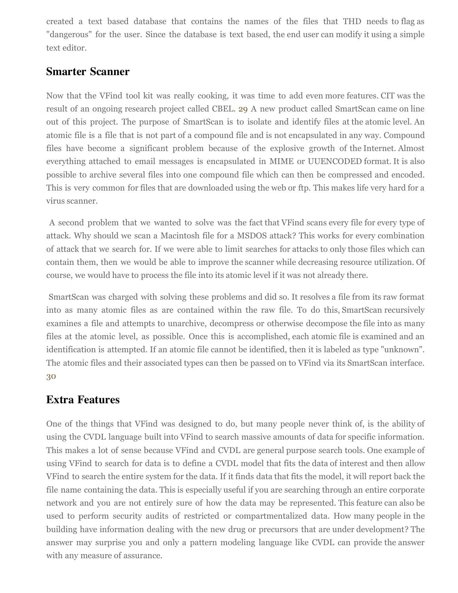created a text based database that contains the names of the files that THD needs to flag as "dangerous" for the user. Since the database is text based, the end user can modify it using a simple text editor.

#### **Smarter Scanner**

Now that the VFind tool kit was really cooking, it was time to add even more features. CIT was the result of an ongoing research project called CBEL. [29](http://cybersoft.com/v3/whitepapers/paper_details.php?content=cs012#29) A new product called SmartScan came on line out of this project. The purpose of SmartScan is to isolate and identify files at the atomic level. An atomic file is a file that is not part of a compound file and is not encapsulated in any way. Compound files have become a significant problem because of the explosive growth of the Internet. Almost everything attached to email messages is encapsulated in MIME or UUENCODED format. It is also possible to archive several files into one compound file which can then be compressed and encoded. This is very common for files that are downloaded using the web or ftp. This makes life very hard for a virus scanner.

 A second problem that we wanted to solve was the fact that VFind scans every file for every type of attack. Why should we scan a Macintosh file for a MSDOS attack? This works for every combination of attack that we search for. If we were able to limit searches for attacks to only those files which can contain them, then we would be able to improve the scanner while decreasing resource utilization. Of course, we would have to process the file into its atomic level if it was not already there.

 SmartScan was charged with solving these problems and did so. It resolves a file from its raw format into as many atomic files as are contained within the raw file. To do this, SmartScan recursively examines a file and attempts to unarchive, decompress or otherwise decompose the file into as many files at the atomic level, as possible. Once this is accomplished, each atomic file is examined and an identification is attempted. If an atomic file cannot be identified, then it is labeled as type "unknown". The atomic files and their associated types can then be passed on to VFind via its SmartScan interface. [30](http://cybersoft.com/v3/whitepapers/paper_details.php?content=cs012#30)

### **Extra Features**

One of the things that VFind was designed to do, but many people never think of, is the ability of using the CVDL language built into VFind to search massive amounts of data for specific information. This makes a lot of sense because VFind and CVDL are general purpose search tools. One example of using VFind to search for data is to define a CVDL model that fits the data of interest and then allow VFind to search the entire system for the data. If it finds data that fits the model, it will report back the file name containing the data. This is especially useful if you are searching through an entire corporate network and you are not entirely sure of how the data may be represented. This feature can also be used to perform security audits of restricted or compartmentalized data. How many people in the building have information dealing with the new drug or precursors that are under development? The answer may surprise you and only a pattern modeling language like CVDL can provide the answer with any measure of assurance.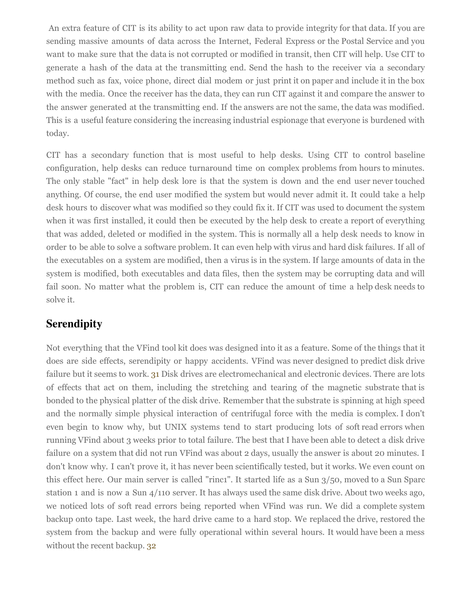An extra feature of CIT is its ability to act upon raw data to provide integrity for that data. If you are sending massive amounts of data across the Internet, Federal Express or the Postal Service and you want to make sure that the data is not corrupted or modified in transit, then CIT will help. Use CIT to generate a hash of the data at the transmitting end. Send the hash to the receiver via a secondary method such as fax, voice phone, direct dial modem or just print it on paper and include it in the box with the media. Once the receiver has the data, they can run CIT against it and compare the answer to the answer generated at the transmitting end. If the answers are not the same, the data was modified. This is a useful feature considering the increasing industrial espionage that everyone is burdened with today.

CIT has a secondary function that is most useful to help desks. Using CIT to control baseline configuration, help desks can reduce turnaround time on complex problems from hours to minutes. The only stable "fact" in help desk lore is that the system is down and the end user never touched anything. Of course, the end user modified the system but would never admit it. It could take a help desk hours to discover what was modified so they could fix it. If CIT was used to document the system when it was first installed, it could then be executed by the help desk to create a report of everything that was added, deleted or modified in the system. This is normally all a help desk needs to know in order to be able to solve a software problem. It can even help with virus and hard disk failures. If all of the executables on a system are modified, then a virus is in the system. If large amounts of data in the system is modified, both executables and data files, then the system may be corrupting data and will fail soon. No matter what the problem is, CIT can reduce the amount of time a help desk needs to solve it.

### **Serendipity**

Not everything that the VFind tool kit does was designed into it as a feature. Some of the things that it does are side effects, serendipity or happy accidents. VFind was never designed to predict disk drive failure but it seems to work. [31](http://cybersoft.com/v3/whitepapers/paper_details.php?content=cs012#31) Disk drives are electromechanical and electronic devices. There are lots of effects that act on them, including the stretching and tearing of the magnetic substrate that is bonded to the physical platter of the disk drive. Remember that the substrate is spinning at high speed and the normally simple physical interaction of centrifugal force with the media is complex. I don't even begin to know why, but UNIX systems tend to start producing lots of soft read errors when running VFind about 3 weeks prior to total failure. The best that I have been able to detect a disk drive failure on a system that did not run VFind was about 2 days, usually the answer is about 20 minutes. I don't know why. I can't prove it, it has never been scientifically tested, but it works. We even count on this effect here. Our main server is called "rinc1". It started life as a Sun 3/50, moved to a Sun Sparc station 1 and is now a Sun 4/110 server. It has always used the same disk drive. About two weeks ago, we noticed lots of soft read errors being reported when VFind was run. We did a complete system backup onto tape. Last week, the hard drive came to a hard stop. We replaced the drive, restored the system from the backup and were fully operational within several hours. It would have been a mess without the recent backup. [32](http://cybersoft.com/v3/whitepapers/paper_details.php?content=cs012#32)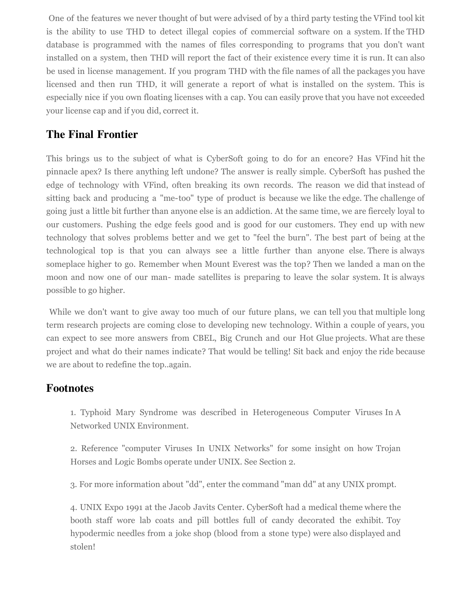One of the features we never thought of but were advised of by a third party testing the VFind tool kit is the ability to use THD to detect illegal copies of commercial software on a system. If the THD database is programmed with the names of files corresponding to programs that you don't want installed on a system, then THD will report the fact of their existence every time it is run. It can also be used in license management. If you program THD with the file names of all the packages you have licensed and then run THD, it will generate a report of what is installed on the system. This is especially nice if you own floating licenses with a cap. You can easily prove that you have not exceeded your license cap and if you did, correct it.

### **The Final Frontier**

This brings us to the subject of what is CyberSoft going to do for an encore? Has VFind hit the pinnacle apex? Is there anything left undone? The answer is really simple. CyberSoft has pushed the edge of technology with VFind, often breaking its own records. The reason we did that instead of sitting back and producing a "me-too" type of product is because we like the edge. The challenge of going just a little bit further than anyone else is an addiction. At the same time, we are fiercely loyal to our customers. Pushing the edge feels good and is good for our customers. They end up with new technology that solves problems better and we get to "feel the burn". The best part of being at the technological top is that you can always see a little further than anyone else. There is always someplace higher to go. Remember when Mount Everest was the top? Then we landed a man on the moon and now one of our man- made satellites is preparing to leave the solar system. It is always possible to go higher.

While we don't want to give away too much of our future plans, we can tell you that multiple long term research projects are coming close to developing new technology. Within a couple of years, you can expect to see more answers from CBEL, Big Crunch and our Hot Glue projects. What are these project and what do their names indicate? That would be telling! Sit back and enjoy the ride because we are about to redefine the top..again.

#### **Footnotes**

1. Typhoid Mary Syndrome was described in Heterogeneous Computer Viruses In A Networked UNIX Environment.

2. Reference "computer Viruses In UNIX Networks" for some insight on how Trojan Horses and Logic Bombs operate under UNIX. See Section 2.

3. For more information about "dd", enter the command "man dd" at any UNIX prompt.

4. UNIX Expo 1991 at the Jacob Javits Center. CyberSoft had a medical theme where the booth staff wore lab coats and pill bottles full of candy decorated the exhibit. Toy hypodermic needles from a joke shop (blood from a stone type) were also displayed and stolen!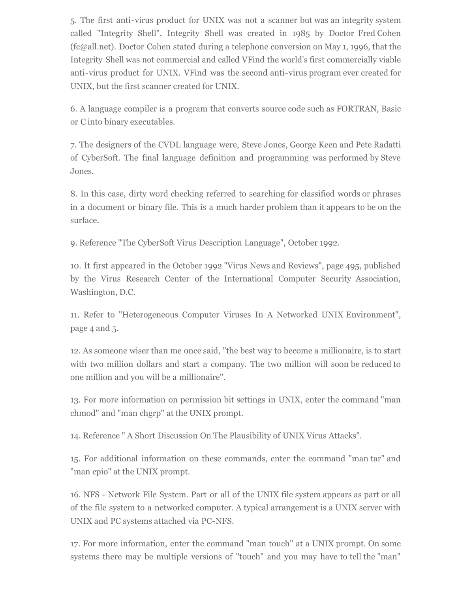5. The first anti-virus product for UNIX was not a scanner but was an integrity system called "Integrity Shell". Integrity Shell was created in 1985 by Doctor Fred Cohen (fc@all.net). Doctor Cohen stated during a telephone conversion on May 1, 1996, that the Integrity Shell was not commercial and called VFind the world's first commercially viable anti-virus product for UNIX. VFind was the second anti-virus program ever created for UNIX, but the first scanner created for UNIX.

6. A language compiler is a program that converts source code such as FORTRAN, Basic or C into binary executables.

7. The designers of the CVDL language were, Steve Jones, George Keen and Pete Radatti of CyberSoft. The final language definition and programming was performed by Steve Jones.

8. In this case, dirty word checking referred to searching for classified words or phrases in a document or binary file. This is a much harder problem than it appears to be on the surface.

9. Reference "The CyberSoft Virus Description Language", October 1992.

10. It first appeared in the October 1992 "Virus News and Reviews", page 495, published by the Virus Research Center of the International Computer Security Association, Washington, D.C.

11. Refer to "Heterogeneous Computer Viruses In A Networked UNIX Environment", page 4 and 5.

12. As someone wiser than me once said, "the best way to become a millionaire, is to start with two million dollars and start a company. The two million will soon be reduced to one million and you will be a millionaire".

13. For more information on permission bit settings in UNIX, enter the command "man chmod" and "man chgrp" at the UNIX prompt.

14. Reference " A Short Discussion On The Plausibility of UNIX Virus Attacks".

15. For additional information on these commands, enter the command "man tar" and "man cpio" at the UNIX prompt.

16. NFS - Network File System. Part or all of the UNIX file system appears as part or all of the file system to a networked computer. A typical arrangement is a UNIX server with UNIX and PC systems attached via PC-NFS.

17. For more information, enter the command "man touch" at a UNIX prompt. On some systems there may be multiple versions of "touch" and you may have to tell the "man"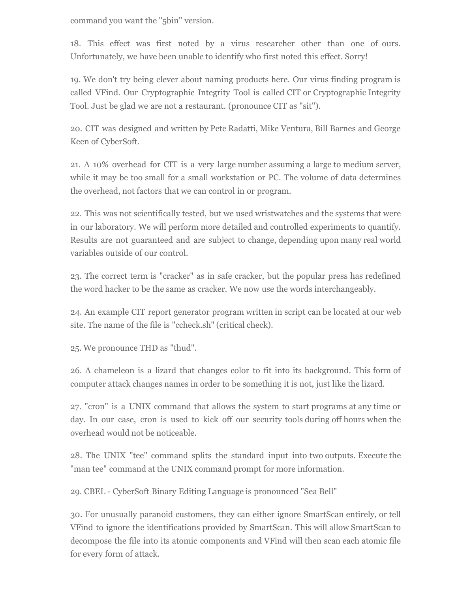command you want the "5bin" version.

18. This effect was first noted by a virus researcher other than one of ours. Unfortunately, we have been unable to identify who first noted this effect. Sorry!

19. We don't try being clever about naming products here. Our virus finding program is called VFind. Our Cryptographic Integrity Tool is called CIT or Cryptographic Integrity Tool. Just be glad we are not a restaurant. (pronounce CIT as "sit").

20. CIT was designed and written by Pete Radatti, Mike Ventura, Bill Barnes and George Keen of CyberSoft.

21. A 10% overhead for CIT is a very large number assuming a large to medium server, while it may be too small for a small workstation or PC. The volume of data determines the overhead, not factors that we can control in or program.

22. This was not scientifically tested, but we used wristwatches and the systems that were in our laboratory. We will perform more detailed and controlled experiments to quantify. Results are not guaranteed and are subject to change, depending upon many real world variables outside of our control.

23. The correct term is "cracker" as in safe cracker, but the popular press has redefined the word hacker to be the same as cracker. We now use the words interchangeably.

24. An example CIT report generator program written in script can be located at our web site. The name of the file is "ccheck.sh" (critical check).

25. We pronounce THD as "thud".

26. A chameleon is a lizard that changes color to fit into its background. This form of computer attack changes names in order to be something it is not, just like the lizard.

27. "cron" is a UNIX command that allows the system to start programs at any time or day. In our case, cron is used to kick off our security tools during off hours when the overhead would not be noticeable.

28. The UNIX "tee" command splits the standard input into two outputs. Execute the "man tee" command at the UNIX command prompt for more information.

29. CBEL - CyberSoft Binary Editing Language is pronounced "Sea Bell"

30. For unusually paranoid customers, they can either ignore SmartScan entirely, or tell VFind to ignore the identifications provided by SmartScan. This will allow SmartScan to decompose the file into its atomic components and VFind will then scan each atomic file for every form of attack.